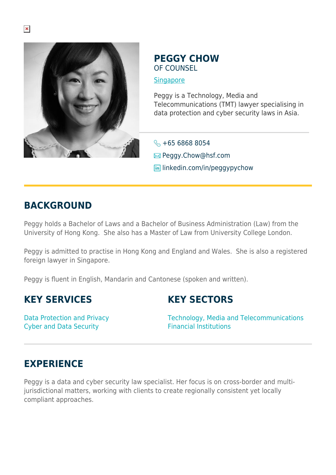

### **PEGGY CHOW** OF COUNSEL

**[Singapore](https://www.herbertsmithfreehills.com/lang-ru/where-we-work/singapore)** 

Peggy is a Technology, Media and Telecommunications (TMT) lawyer specialising in data protection and cyber security laws in Asia.

 $\leftarrow$  +65 6868 8054

**E**Peggy.Chow@hsf.com

**in** linkedin.com/in/peggypychow

## **BACKGROUND**

Peggy holds a Bachelor of Laws and a Bachelor of Business Administration (Law) from the University of Hong Kong. She also has a Master of Law from University College London.

Peggy is admitted to practise in Hong Kong and England and Wales. She is also a registered foreign lawyer in Singapore.

Peggy is fluent in English, Mandarin and Cantonese (spoken and written).

### **KEY SERVICES**

Data Protection and Privacy Cyber and Data Security

**KEY SECTORS**

Technology, Media and Telecommunications Financial Institutions

# **EXPERIENCE**

Peggy is a data and cyber security law specialist. Her focus is on cross-border and multijurisdictional matters, working with clients to create regionally consistent yet locally compliant approaches.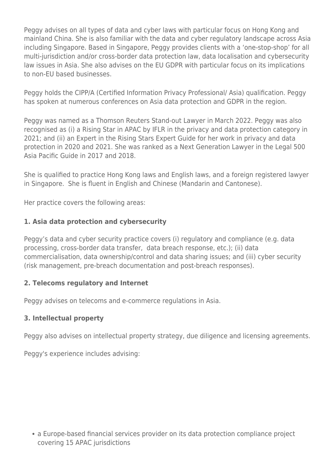Peggy advises on all types of data and cyber laws with particular focus on Hong Kong and mainland China. She is also familiar with the data and cyber regulatory landscape across Asia including Singapore. Based in Singapore, Peggy provides clients with a 'one-stop-shop' for all multi-jurisdiction and/or cross-border data protection law, data localisation and cybersecurity law issues in Asia. She also advises on the EU GDPR with particular focus on its implications to non-EU based businesses.

Peggy holds the CIPP/A (Certified Information Privacy Professional/ Asia) qualification. Peggy has spoken at numerous conferences on Asia data protection and GDPR in the region.

Peggy was named as a Thomson Reuters Stand-out Lawyer in March 2022. Peggy was also recognised as (i) a Rising Star in APAC by IFLR in the privacy and data protection category in 2021; and (ii) an Expert in the Rising Stars Expert Guide for her work in privacy and data protection in 2020 and 2021. She was ranked as a Next Generation Lawyer in the Legal 500 Asia Pacific Guide in 2017 and 2018.

She is qualified to practice Hong Kong laws and English laws, and a foreign registered lawyer in Singapore. She is fluent in English and Chinese (Mandarin and Cantonese).

Her practice covers the following areas:

### **1. Asia data protection and cybersecurity**

Peggy's data and cyber security practice covers (i) regulatory and compliance (e.g. data processing, cross-border data transfer, data breach response, etc.); (ii) data commercialisation, data ownership/control and data sharing issues; and (iii) cyber security (risk management, pre-breach documentation and post-breach responses).

#### **2. Telecoms regulatory and Internet**

Peggy advises on telecoms and e-commerce regulations in Asia.

#### **3. Intellectual property**

Peggy also advises on intellectual property strategy, due diligence and licensing agreements.

Peggy's experience includes advising:

a Europe-based financial services provider on its data protection compliance project covering 15 APAC jurisdictions